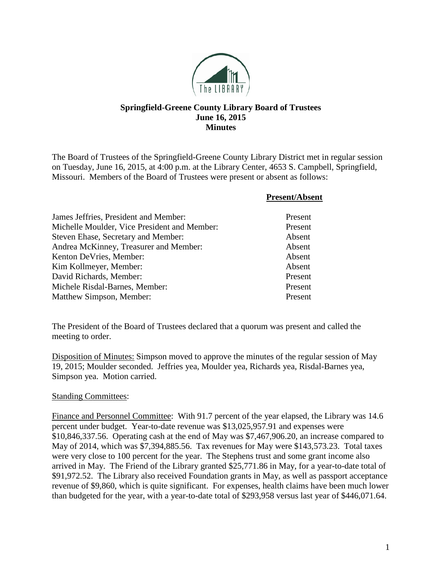

## **Springfield-Greene County Library Board of Trustees June 16, 2015 Minutes**

The Board of Trustees of the Springfield-Greene County Library District met in regular session on Tuesday, June 16, 2015, at 4:00 p.m. at the Library Center, 4653 S. Campbell, Springfield, Missouri. Members of the Board of Trustees were present or absent as follows:

|                                              | <b>Present/Absent</b> |
|----------------------------------------------|-----------------------|
| James Jeffries, President and Member:        | Present               |
| Michelle Moulder, Vice President and Member: | Present               |
| Steven Ehase, Secretary and Member:          | Absent                |
| Andrea McKinney, Treasurer and Member:       | Absent                |
| Kenton DeVries, Member:                      | Absent                |
| Kim Kollmeyer, Member:                       | Absent                |
| David Richards, Member:                      | Present               |
| Michele Risdal-Barnes, Member:               | Present               |
| Matthew Simpson, Member:                     | Present               |

The President of the Board of Trustees declared that a quorum was present and called the meeting to order.

Disposition of Minutes: Simpson moved to approve the minutes of the regular session of May 19, 2015; Moulder seconded. Jeffries yea, Moulder yea, Richards yea, Risdal-Barnes yea, Simpson yea. Motion carried.

## **Standing Committees:**

Finance and Personnel Committee: With 91.7 percent of the year elapsed, the Library was 14.6 percent under budget. Year-to-date revenue was \$13,025,957.91 and expenses were \$10,846,337.56. Operating cash at the end of May was \$7,467,906.20, an increase compared to May of 2014, which was \$7,394,885.56. Tax revenues for May were \$143,573.23. Total taxes were very close to 100 percent for the year. The Stephens trust and some grant income also arrived in May. The Friend of the Library granted \$25,771.86 in May, for a year-to-date total of \$91,972.52. The Library also received Foundation grants in May, as well as passport acceptance revenue of \$9,860, which is quite significant. For expenses, health claims have been much lower than budgeted for the year, with a year-to-date total of \$293,958 versus last year of \$446,071.64.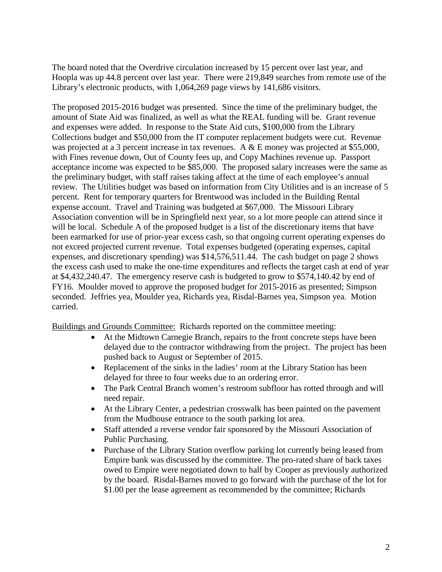The board noted that the Overdrive circulation increased by 15 percent over last year, and Hoopla was up 44.8 percent over last year. There were 219,849 searches from remote use of the Library's electronic products, with 1,064,269 page views by 141,686 visitors.

The proposed 2015-2016 budget was presented. Since the time of the preliminary budget, the amount of State Aid was finalized, as well as what the REAL funding will be. Grant revenue and expenses were added. In response to the State Aid cuts, \$100,000 from the Library Collections budget and \$50,000 from the IT computer replacement budgets were cut. Revenue was projected at a 3 percent increase in tax revenues. A & E money was projected at \$55,000, with Fines revenue down, Out of County fees up, and Copy Machines revenue up. Passport acceptance income was expected to be \$85,000. The proposed salary increases were the same as the preliminary budget, with staff raises taking affect at the time of each employee's annual review. The Utilities budget was based on information from City Utilities and is an increase of 5 percent. Rent for temporary quarters for Brentwood was included in the Building Rental expense account. Travel and Training was budgeted at \$67,000. The Missouri Library Association convention will be in Springfield next year, so a lot more people can attend since it will be local. Schedule A of the proposed budget is a list of the discretionary items that have been earmarked for use of prior-year excess cash, so that ongoing current operating expenses do not exceed projected current revenue. Total expenses budgeted (operating expenses, capital expenses, and discretionary spending) was \$14,576,511.44. The cash budget on page 2 shows the excess cash used to make the one-time expenditures and reflects the target cash at end of year at \$4,432,240.47. The emergency reserve cash is budgeted to grow to \$574,140.42 by end of FY16. Moulder moved to approve the proposed budget for 2015-2016 as presented; Simpson seconded. Jeffries yea, Moulder yea, Richards yea, Risdal-Barnes yea, Simpson yea. Motion carried.

Buildings and Grounds Committee: Richards reported on the committee meeting:

- At the Midtown Carnegie Branch, repairs to the front concrete steps have been delayed due to the contractor withdrawing from the project. The project has been pushed back to August or September of 2015.
- Replacement of the sinks in the ladies' room at the Library Station has been delayed for three to four weeks due to an ordering error.
- The Park Central Branch women's restroom subfloor has rotted through and will need repair.
- At the Library Center, a pedestrian crosswalk has been painted on the pavement from the Mudhouse entrance to the south parking lot area.
- Staff attended a reverse vendor fair sponsored by the Missouri Association of Public Purchasing.
- Purchase of the Library Station overflow parking lot currently being leased from Empire bank was discussed by the committee. The pro-rated share of back taxes owed to Empire were negotiated down to half by Cooper as previously authorized by the board. Risdal-Barnes moved to go forward with the purchase of the lot for \$1.00 per the lease agreement as recommended by the committee; Richards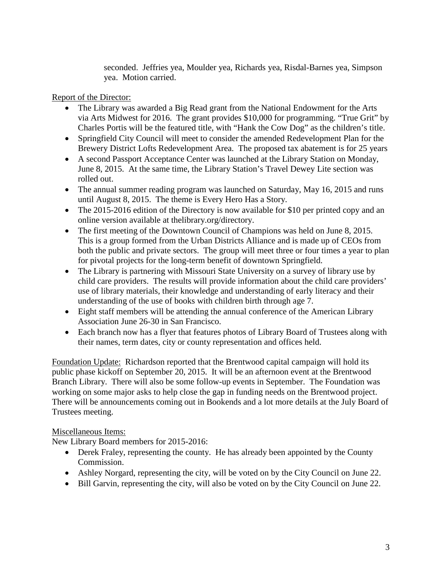seconded. Jeffries yea, Moulder yea, Richards yea, Risdal-Barnes yea, Simpson yea. Motion carried.

Report of the Director:

- The Library was awarded a Big Read grant from the National Endowment for the Arts via Arts Midwest for 2016. The grant provides \$10,000 for programming. "True Grit" by Charles Portis will be the featured title, with "Hank the Cow Dog" as the children's title.
- Springfield City Council will meet to consider the amended Redevelopment Plan for the Brewery District Lofts Redevelopment Area. The proposed tax abatement is for 25 years
- A second Passport Acceptance Center was launched at the Library Station on Monday, June 8, 2015. At the same time, the Library Station's Travel Dewey Lite section was rolled out.
- The annual summer reading program was launched on Saturday, May 16, 2015 and runs until August 8, 2015. The theme is Every Hero Has a Story.
- The 2015-2016 edition of the Directory is now available for \$10 per printed copy and an online version available at thelibrary.org/directory.
- The first meeting of the Downtown Council of Champions was held on June 8, 2015. This is a group formed from the Urban Districts Alliance and is made up of CEOs from both the public and private sectors. The group will meet three or four times a year to plan for pivotal projects for the long-term benefit of downtown Springfield.
- The Library is partnering with Missouri State University on a survey of library use by child care providers. The results will provide information about the child care providers' use of library materials, their knowledge and understanding of early literacy and their understanding of the use of books with children birth through age 7.
- Eight staff members will be attending the annual conference of the American Library Association June 26-30 in San Francisco.
- Each branch now has a flyer that features photos of Library Board of Trustees along with their names, term dates, city or county representation and offices held.

Foundation Update: Richardson reported that the Brentwood capital campaign will hold its public phase kickoff on September 20, 2015. It will be an afternoon event at the Brentwood Branch Library. There will also be some follow-up events in September. The Foundation was working on some major asks to help close the gap in funding needs on the Brentwood project. There will be announcements coming out in Bookends and a lot more details at the July Board of Trustees meeting.

## Miscellaneous Items:

New Library Board members for 2015-2016:

- Derek Fraley, representing the county. He has already been appointed by the County Commission.
- Ashley Norgard, representing the city, will be voted on by the City Council on June 22.
- Bill Garvin, representing the city, will also be voted on by the City Council on June 22.